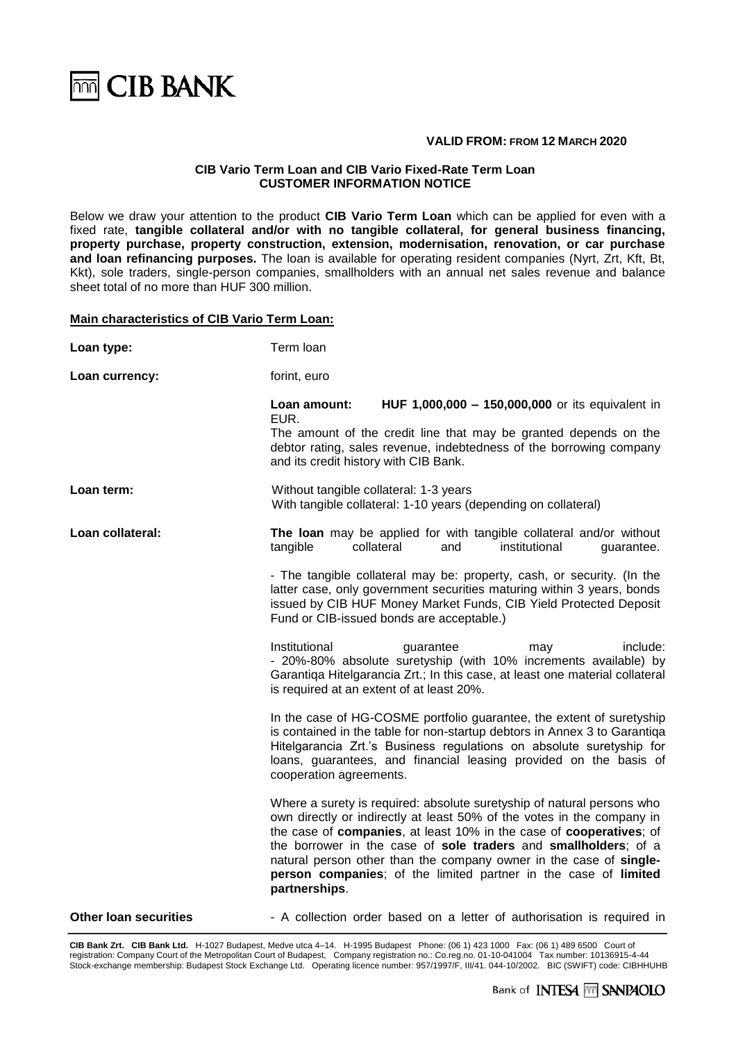

## **VALID FROM: FROM 12 MARCH 2020**

# **CIB Vario Term Loan and CIB Vario Fixed-Rate Term Loan CUSTOMER INFORMATION NOTICE**

Below we draw your attention to the product **CIB Vario Term Loan** which can be applied for even with a fixed rate, **tangible collateral and/or with no tangible collateral, for general business financing, property purchase, property construction, extension, modernisation, renovation, or car purchase and loan refinancing purposes.** The loan is available for operating resident companies (Nyrt, Zrt, Kft, Bt, Kkt), sole traders, single-person companies, smallholders with an annual net sales revenue and balance sheet total of no more than HUF 300 million.

#### **Main characteristics of CIB Vario Term Loan:**

| Loan type:                   | Term loan                                                                                                                                                                                                                                                                                                                                                                                                                                            |
|------------------------------|------------------------------------------------------------------------------------------------------------------------------------------------------------------------------------------------------------------------------------------------------------------------------------------------------------------------------------------------------------------------------------------------------------------------------------------------------|
| Loan currency:               | forint, euro                                                                                                                                                                                                                                                                                                                                                                                                                                         |
|                              | HUF 1,000,000 - 150,000,000 or its equivalent in<br>Loan amount:<br>EUR.                                                                                                                                                                                                                                                                                                                                                                             |
|                              | The amount of the credit line that may be granted depends on the<br>debtor rating, sales revenue, indebtedness of the borrowing company<br>and its credit history with CIB Bank.                                                                                                                                                                                                                                                                     |
| Loan term:                   | Without tangible collateral: 1-3 years<br>With tangible collateral: 1-10 years (depending on collateral)                                                                                                                                                                                                                                                                                                                                             |
| Loan collateral:             | The loan may be applied for with tangible collateral and/or without<br>collateral<br>tangible<br>institutional<br>guarantee.<br>and                                                                                                                                                                                                                                                                                                                  |
|                              | - The tangible collateral may be: property, cash, or security. (In the<br>latter case, only government securities maturing within 3 years, bonds<br>issued by CIB HUF Money Market Funds, CIB Yield Protected Deposit<br>Fund or CIB-issued bonds are acceptable.)                                                                                                                                                                                   |
|                              | Institutional<br>guarantee<br>include:<br>may<br>- 20%-80% absolute suretyship (with 10% increments available) by<br>Garantiqa Hitelgarancia Zrt.; In this case, at least one material collateral<br>is required at an extent of at least 20%.                                                                                                                                                                                                       |
|                              | In the case of HG-COSME portfolio guarantee, the extent of suretyship<br>is contained in the table for non-startup debtors in Annex 3 to Garantiqa<br>Hitelgarancia Zrt.'s Business regulations on absolute suretyship for<br>loans, guarantees, and financial leasing provided on the basis of<br>cooperation agreements.                                                                                                                           |
|                              | Where a surety is required: absolute suretyship of natural persons who<br>own directly or indirectly at least 50% of the votes in the company in<br>the case of companies, at least 10% in the case of cooperatives; of<br>the borrower in the case of sole traders and smallholders; of a<br>natural person other than the company owner in the case of single-<br>person companies; of the limited partner in the case of limited<br>partnerships. |
| <b>Other loan securities</b> | - A collection order based on a letter of authorisation is required in                                                                                                                                                                                                                                                                                                                                                                               |

**CIB Bank Zrt. CIB Bank Ltd.** H-1027 Budapest, Medve utca 4–14. H-1995 Budapest Phone: (06 1) 423 1000 Fax: (06 1) 489 6500 Court of registration: Company Court of the Metropolitan Court of Budapest, Company registration no.: Co.reg.no. 01-10-041004 Tax number: 10136915-4-44 Stock-exchange membership: Budapest Stock Exchange Ltd. Operating licence number: 957/1997/F, III/41. 044-10/2002. BIC (SWIFT) code: CIBHHUHB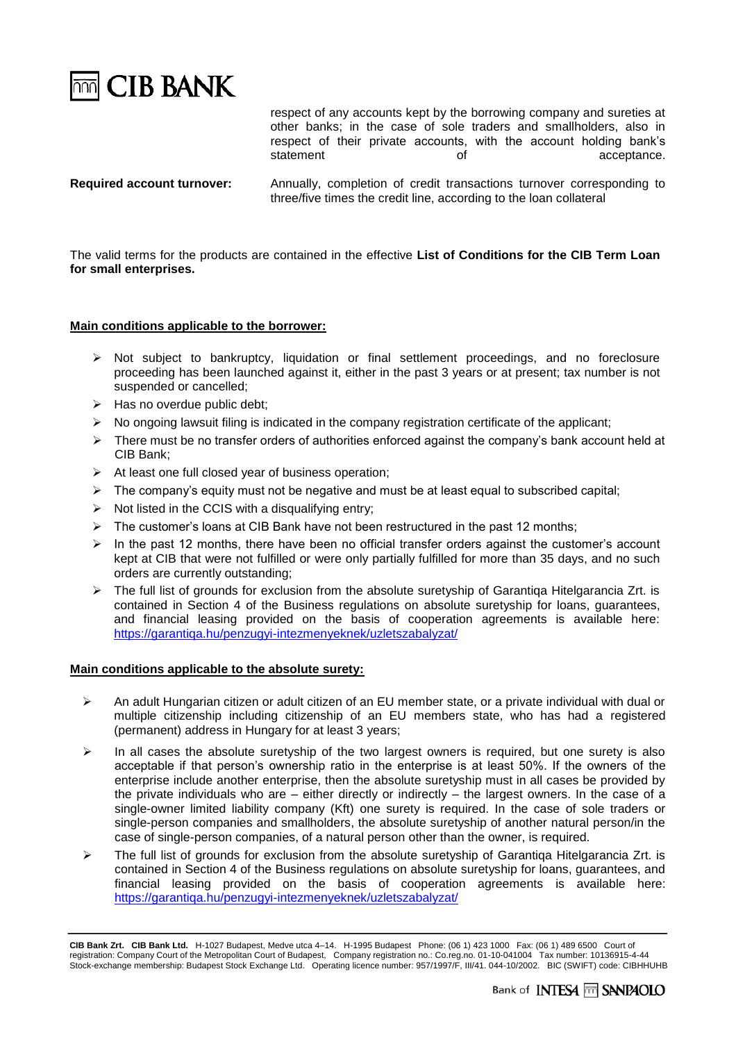

respect of any accounts kept by the borrowing company and sureties at other banks; in the case of sole traders and smallholders, also in respect of their private accounts, with the account holding bank's<br>statement of acceptance. of acceptance.

**Required account turnover:** Annually, completion of credit transactions turnover corresponding to three/five times the credit line, according to the loan collateral

The valid terms for the products are contained in the effective **List of Conditions for the CIB Term Loan for small enterprises.**

# **Main conditions applicable to the borrower:**

- ➢ Not subject to bankruptcy, liquidation or final settlement proceedings, and no foreclosure proceeding has been launched against it, either in the past 3 years or at present; tax number is not suspended or cancelled;
- $\triangleright$  Has no overdue public debt;
- $\triangleright$  No ongoing lawsuit filing is indicated in the company registration certificate of the applicant;
- ➢ There must be no transfer orders of authorities enforced against the company's bank account held at CIB Bank;
- ➢ At least one full closed year of business operation;
- ➢ The company's equity must not be negative and must be at least equal to subscribed capital;
- $\triangleright$  Not listed in the CCIS with a disqualifying entry;
- $\triangleright$  The customer's loans at CIB Bank have not been restructured in the past 12 months;
- ➢ In the past 12 months, there have been no official transfer orders against the customer's account kept at CIB that were not fulfilled or were only partially fulfilled for more than 35 days, and no such orders are currently outstanding;
- $\triangleright$  The full list of grounds for exclusion from the absolute suretyship of Garantiga Hitelgarancia Zrt. is contained in Section 4 of the Business regulations on absolute suretyship for loans, guarantees, and financial leasing provided on the basis of cooperation agreements is available here: <https://garantiqa.hu/penzugyi-intezmenyeknek/uzletszabalyzat/>

## **Main conditions applicable to the absolute surety:**

- $\triangleright$  An adult Hungarian citizen or adult citizen of an EU member state, or a private individual with dual or multiple citizenship including citizenship of an EU members state, who has had a registered (permanent) address in Hungary for at least 3 years;
- $\triangleright$  In all cases the absolute suretyship of the two largest owners is required, but one surety is also acceptable if that person's ownership ratio in the enterprise is at least 50%. If the owners of the enterprise include another enterprise, then the absolute suretyship must in all cases be provided by the private individuals who are – either directly or indirectly – the largest owners. In the case of a single-owner limited liability company (Kft) one surety is required. In the case of sole traders or single-person companies and smallholders, the absolute suretyship of another natural person/in the case of single-person companies, of a natural person other than the owner, is required.
- ➢ The full list of grounds for exclusion from the absolute suretyship of Garantiqa Hitelgarancia Zrt. is contained in Section 4 of the Business regulations on absolute suretyship for loans, guarantees, and financial leasing provided on the basis of cooperation agreements is available here: <https://garantiqa.hu/penzugyi-intezmenyeknek/uzletszabalyzat/>

**CIB Bank Zrt. CIB Bank Ltd.** H-1027 Budapest, Medve utca 4–14. H-1995 Budapest Phone: (06 1) 423 1000 Fax: (06 1) 489 6500 Court of registration: Company Court of the Metropolitan Court of Budapest, Company registration no.: Co.reg.no. 01-10-041004 Tax number: 10136915-4-44 Stock-exchange membership: Budapest Stock Exchange Ltd. Operating licence number: 957/1997/F, III/41. 044-10/2002. BIC (SWIFT) code: CIBHHUHB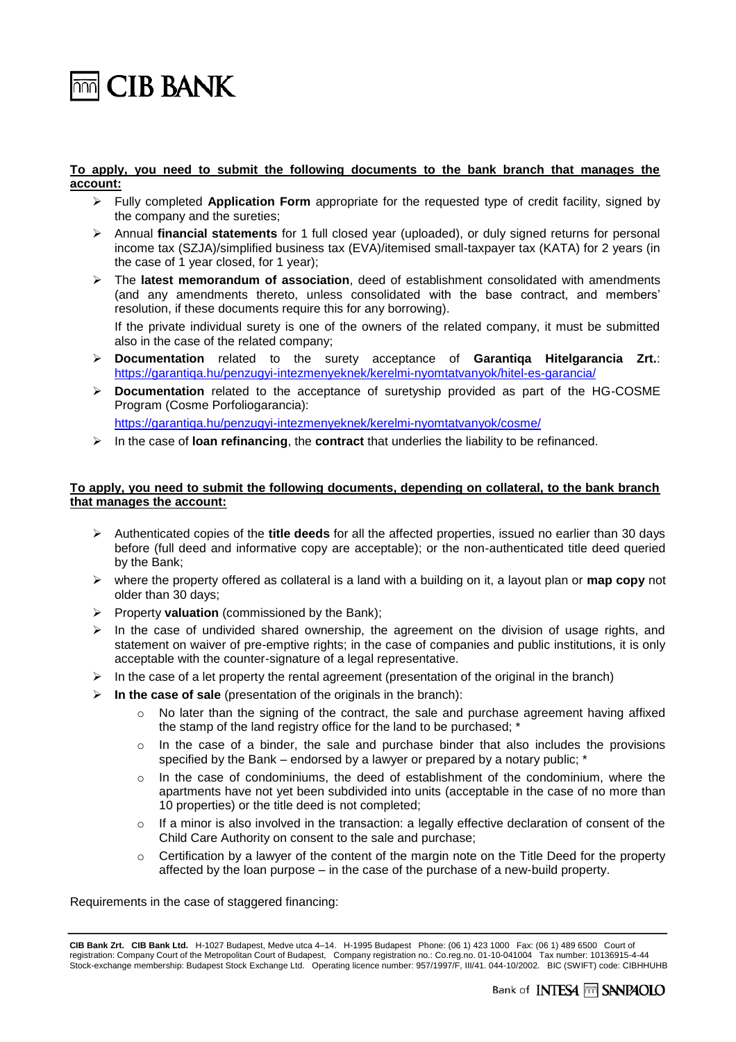

 $\overline{\mathbb{R}}$  CIB BANK

## **To apply, you need to submit the following documents to the bank branch that manages the account:**

- ➢ Fully completed **Application Form** appropriate for the requested type of credit facility, signed by the company and the sureties;
- ➢ Annual **financial statements** for 1 full closed year (uploaded), or duly signed returns for personal income tax (SZJA)/simplified business tax (EVA)/itemised small-taxpayer tax (KATA) for 2 years (in the case of 1 year closed, for 1 year);
- ➢ The **latest memorandum of association**, deed of establishment consolidated with amendments (and any amendments thereto, unless consolidated with the base contract, and members' resolution, if these documents require this for any borrowing).

If the private individual surety is one of the owners of the related company, it must be submitted also in the case of the related company;

- ➢ **Documentation** related to the surety acceptance of **Garantiqa Hitelgarancia Zrt.**: <https://garantiqa.hu/penzugyi-intezmenyeknek/kerelmi-nyomtatvanyok/hitel-es-garancia/>
- ➢ **Documentation** related to the acceptance of suretyship provided as part of the HG-COSME Program (Cosme Porfoliogarancia):

<https://garantiqa.hu/penzugyi-intezmenyeknek/kerelmi-nyomtatvanyok/cosme/>

➢ In the case of **loan refinancing**, the **contract** that underlies the liability to be refinanced.

# **To apply, you need to submit the following documents, depending on collateral, to the bank branch that manages the account:**

- ➢ Authenticated copies of the **title deeds** for all the affected properties, issued no earlier than 30 days before (full deed and informative copy are acceptable); or the non-authenticated title deed queried by the Bank;
- ➢ where the property offered as collateral is a land with a building on it, a layout plan or **map copy** not older than 30 days;
- ➢ Property **valuation** (commissioned by the Bank);
- $\triangleright$  In the case of undivided shared ownership, the agreement on the division of usage rights, and statement on waiver of pre-emptive rights; in the case of companies and public institutions, it is only acceptable with the counter-signature of a legal representative.
- $\triangleright$  In the case of a let property the rental agreement (presentation of the original in the branch)
- ➢ **In the case of sale** (presentation of the originals in the branch):
	- $\circ$  No later than the signing of the contract, the sale and purchase agreement having affixed the stamp of the land registry office for the land to be purchased; \*
	- $\circ$  In the case of a binder, the sale and purchase binder that also includes the provisions specified by the Bank – endorsed by a lawyer or prepared by a notary public; \*
	- o In the case of condominiums, the deed of establishment of the condominium, where the apartments have not yet been subdivided into units (acceptable in the case of no more than 10 properties) or the title deed is not completed;
	- $\circ$  If a minor is also involved in the transaction: a legally effective declaration of consent of the Child Care Authority on consent to the sale and purchase;
	- $\circ$  Certification by a lawyer of the content of the margin note on the Title Deed for the property affected by the loan purpose – in the case of the purchase of a new-build property.

Requirements in the case of staggered financing:

**CIB Bank Zrt. CIB Bank Ltd.** H-1027 Budapest, Medve utca 4–14. H-1995 Budapest Phone: (06 1) 423 1000 Fax: (06 1) 489 6500 Court of registration: Company Court of the Metropolitan Court of Budapest, Company registration no.: Co.reg.no. 01-10-041004 Tax number: 10136915-4-44 Stock-exchange membership: Budapest Stock Exchange Ltd. Operating licence number: 957/1997/F, III/41. 044-10/2002. BIC (SWIFT) code: CIBHHUHB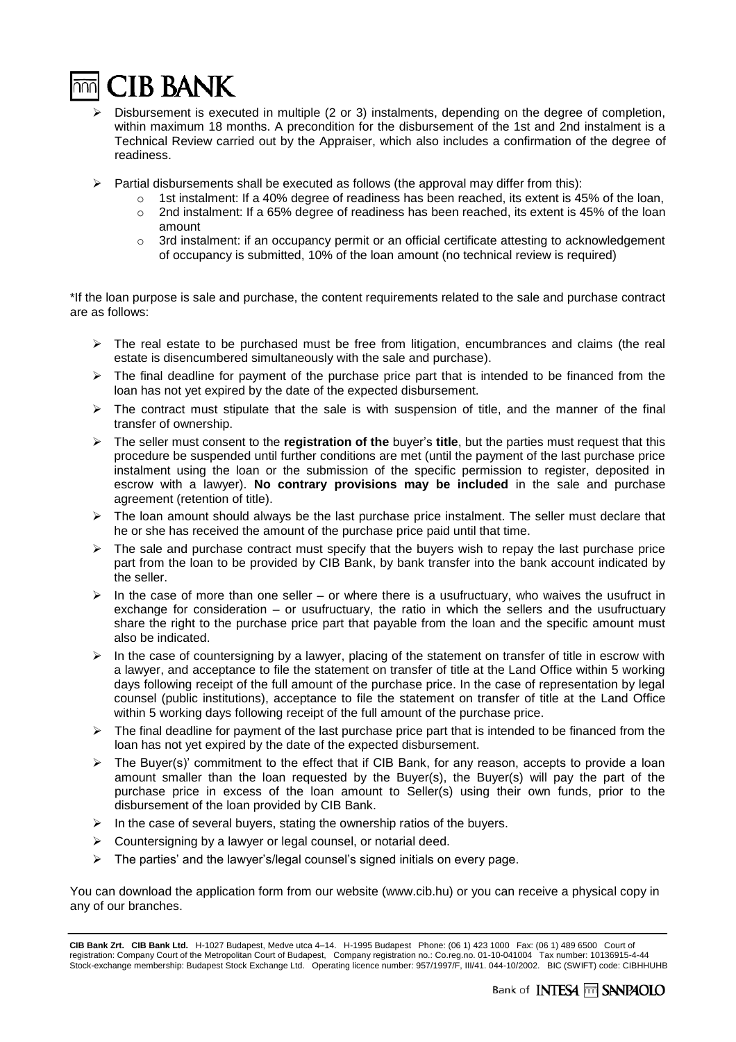

- Disbursement is executed in multiple (2 or 3) instalments, depending on the degree of completion, within maximum 18 months. A precondition for the disbursement of the 1st and 2nd instalment is a Technical Review carried out by the Appraiser, which also includes a confirmation of the degree of readiness.
- ➢ Partial disbursements shall be executed as follows (the approval may differ from this):
	- $\circ$  1st instalment: If a 40% degree of readiness has been reached, its extent is 45% of the loan,
		- $\circ$  2nd instalment: If a 65% degree of readiness has been reached, its extent is 45% of the loan amount
	- $\circ$  3rd instalment: if an occupancy permit or an official certificate attesting to acknowledgement of occupancy is submitted, 10% of the loan amount (no technical review is required)

\*If the loan purpose is sale and purchase, the content requirements related to the sale and purchase contract are as follows:

- $\triangleright$  The real estate to be purchased must be free from litigation, encumbrances and claims (the real estate is disencumbered simultaneously with the sale and purchase).
- $\triangleright$  The final deadline for payment of the purchase price part that is intended to be financed from the loan has not yet expired by the date of the expected disbursement.
- $\triangleright$  The contract must stipulate that the sale is with suspension of title, and the manner of the final transfer of ownership.
- ➢ The seller must consent to the **registration of the** buyer's **title**, but the parties must request that this procedure be suspended until further conditions are met (until the payment of the last purchase price instalment using the loan or the submission of the specific permission to register, deposited in escrow with a lawyer). **No contrary provisions may be included** in the sale and purchase agreement (retention of title).
- $\triangleright$  The loan amount should always be the last purchase price instalment. The seller must declare that he or she has received the amount of the purchase price paid until that time.
- $\triangleright$  The sale and purchase contract must specify that the buyers wish to repay the last purchase price part from the loan to be provided by CIB Bank, by bank transfer into the bank account indicated by the seller.
- $\triangleright$  In the case of more than one seller or where there is a usufructuary, who waives the usufruct in exchange for consideration – or usufructuary, the ratio in which the sellers and the usufructuary share the right to the purchase price part that payable from the loan and the specific amount must also be indicated.
- $\triangleright$  In the case of countersigning by a lawyer, placing of the statement on transfer of title in escrow with a lawyer, and acceptance to file the statement on transfer of title at the Land Office within 5 working days following receipt of the full amount of the purchase price. In the case of representation by legal counsel (public institutions), acceptance to file the statement on transfer of title at the Land Office within 5 working days following receipt of the full amount of the purchase price.
- $\triangleright$  The final deadline for payment of the last purchase price part that is intended to be financed from the loan has not yet expired by the date of the expected disbursement.
- ➢ The Buyer(s)' commitment to the effect that if CIB Bank, for any reason, accepts to provide a loan amount smaller than the loan requested by the Buyer(s), the Buyer(s) will pay the part of the purchase price in excess of the loan amount to Seller(s) using their own funds, prior to the disbursement of the loan provided by CIB Bank.
- $\triangleright$  In the case of several buyers, stating the ownership ratios of the buyers.
- ➢ Countersigning by a lawyer or legal counsel, or notarial deed.
- ➢ The parties' and the lawyer's/legal counsel's signed initials on every page.

You can download the application form from our website (www.cib.hu) or you can receive a physical copy in any of our branches.

**CIB Bank Zrt. CIB Bank Ltd.** H-1027 Budapest, Medve utca 4–14. H-1995 Budapest Phone: (06 1) 423 1000 Fax: (06 1) 489 6500 Court of registration: Company Court of the Metropolitan Court of Budapest, Company registration no.: Co.reg.no. 01-10-041004 Tax number: 10136915-4-44 Stock-exchange membership: Budapest Stock Exchange Ltd. Operating licence number: 957/1997/F, III/41. 044-10/2002. BIC (SWIFT) code: CIBHHUHB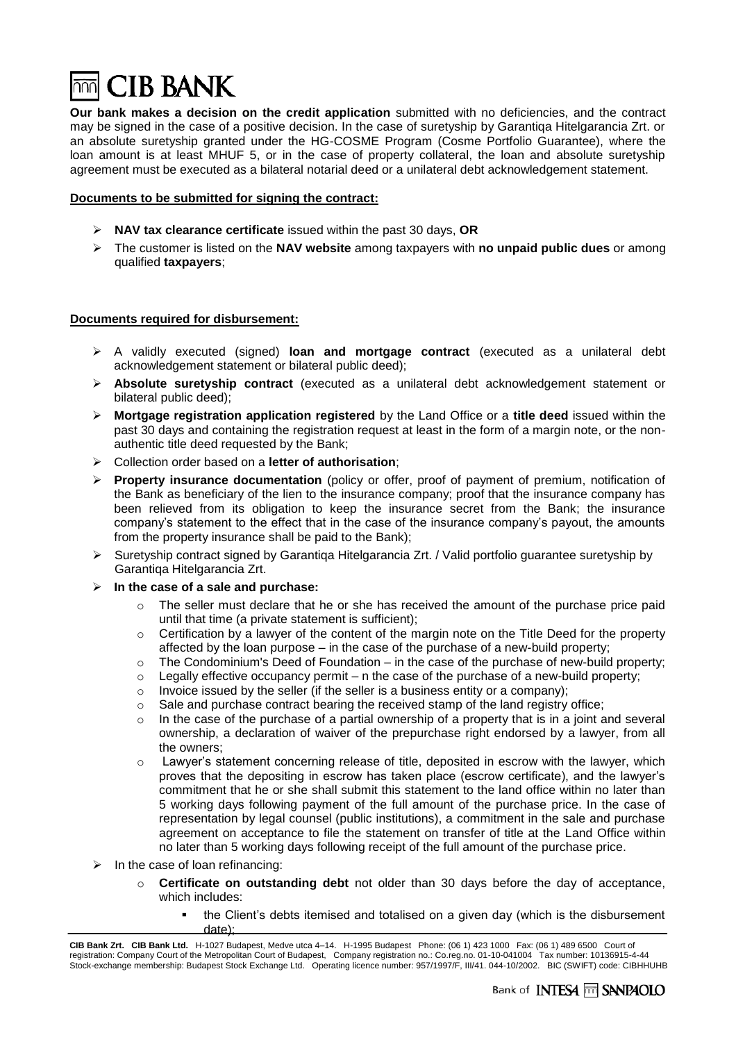

**Our bank makes a decision on the credit application** submitted with no deficiencies, and the contract may be signed in the case of a positive decision. In the case of suretyship by Garantiqa Hitelgarancia Zrt. or an absolute suretyship granted under the HG-COSME Program (Cosme Portfolio Guarantee), where the loan amount is at least MHUF 5, or in the case of property collateral, the loan and absolute suretyship agreement must be executed as a bilateral notarial deed or a unilateral debt acknowledgement statement.

## **Documents to be submitted for signing the contract:**

- ➢ **NAV tax clearance certificate** issued within the past 30 days, **OR**
- ➢ The customer is listed on the **NAV website** among taxpayers with **no unpaid public dues** or among qualified **taxpayers**;

## **Documents required for disbursement:**

- ➢ A validly executed (signed) **loan and mortgage contract** (executed as a unilateral debt acknowledgement statement or bilateral public deed);
- ➢ **Absolute suretyship contract** (executed as a unilateral debt acknowledgement statement or bilateral public deed);
- ➢ **Mortgage registration application registered** by the Land Office or a **title deed** issued within the past 30 days and containing the registration request at least in the form of a margin note, or the nonauthentic title deed requested by the Bank;
- ➢ Collection order based on a **letter of authorisation**;
- ➢ **Property insurance documentation** (policy or offer, proof of payment of premium, notification of the Bank as beneficiary of the lien to the insurance company; proof that the insurance company has been relieved from its obligation to keep the insurance secret from the Bank; the insurance company's statement to the effect that in the case of the insurance company's payout, the amounts from the property insurance shall be paid to the Bank);
- ➢ Suretyship contract signed by Garantiqa Hitelgarancia Zrt. / Valid portfolio guarantee suretyship by Garantiqa Hitelgarancia Zrt.
- ➢ **In the case of a sale and purchase:**
	- $\circ$  The seller must declare that he or she has received the amount of the purchase price paid until that time (a private statement is sufficient);
	- $\circ$  Certification by a lawyer of the content of the margin note on the Title Deed for the property affected by the loan purpose – in the case of the purchase of a new-build property;
	- $\circ$  The Condominium's Deed of Foundation in the case of the purchase of new-build property;
	- $\circ$  Legally effective occupancy permit n the case of the purchase of a new-build property;
	- $\circ$  Invoice issued by the seller (if the seller is a business entity or a company);
	- $\circ$  Sale and purchase contract bearing the received stamp of the land registry office;
	- $\circ$  In the case of the purchase of a partial ownership of a property that is in a joint and several ownership, a declaration of waiver of the prepurchase right endorsed by a lawyer, from all the owners;
	- $\circ$  Lawyer's statement concerning release of title, deposited in escrow with the lawyer, which proves that the depositing in escrow has taken place (escrow certificate), and the lawyer's commitment that he or she shall submit this statement to the land office within no later than 5 working days following payment of the full amount of the purchase price. In the case of representation by legal counsel (public institutions), a commitment in the sale and purchase agreement on acceptance to file the statement on transfer of title at the Land Office within no later than 5 working days following receipt of the full amount of the purchase price.
- $\triangleright$  In the case of loan refinancing:
	- o **Certificate on outstanding debt** not older than 30 days before the day of acceptance, which includes:
		- the Client's debts itemised and totalised on a given day (which is the disbursement date);

**CIB Bank Zrt. CIB Bank Ltd.** H-1027 Budapest, Medve utca 4–14. H-1995 Budapest Phone: (06 1) 423 1000 Fax: (06 1) 489 6500 Court of registration: Company Court of the Metropolitan Court of Budapest, Company registration no.: Co.reg.no. 01-10-041004 Tax number: 10136915-4-44 Stock-exchange membership: Budapest Stock Exchange Ltd. Operating licence number: 957/1997/F, III/41. 044-10/2002. BIC (SWIFT) code: CIBHHUHB